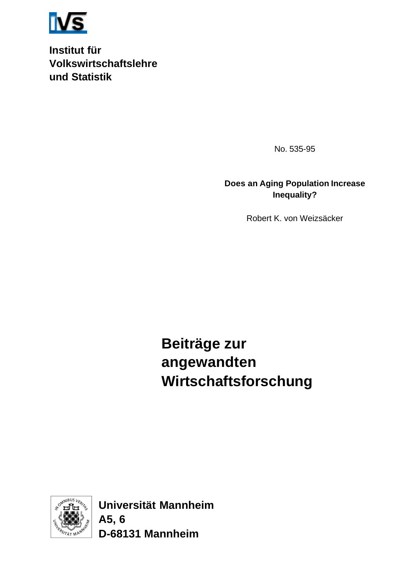

**Institut für Volkswirtschaftslehre und Statistik**

No. 535-95

**Does an Aging Population Increase Inequality?**

Robert K. von Weizsäcker

**Beiträge zur angewandten Wirtschaftsforschung**



**Universität Mannheim A5, 6 D-68131 Mannheim**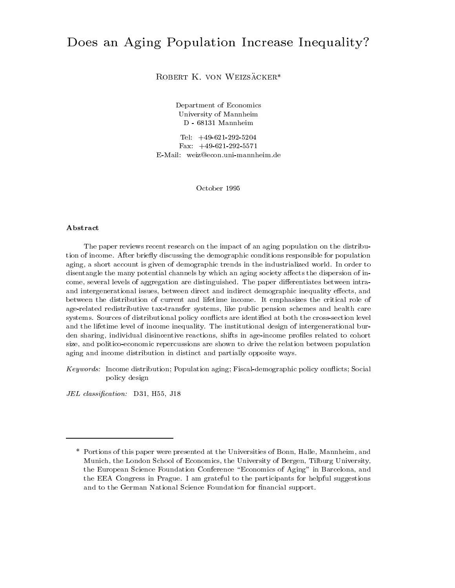# Does an Aging Population Increase Inequality?

ROBERT K. VON WEIZSÄCKER\*

Department of Economics University of Mannheim D - 68131 Mannheim

Tel: +49-621-292-5204 Fax: +49-621-292-5571 E-Mail: weiz@econ.uni-mannheim.de

October 1995

#### Abstract

The paper reviews recent research on the impact of an aging population on the distribution of income. After briefly discussing the demographic conditions responsible for population aging, a short account is given of demographic trends in the industrialized world. In order to disentangle the many potential channels by which an aging society affects the dispersion of income, several levels of aggregation are distinguished. The paper differentiates between intraand intergenerational issues, between direct and indirect demographic inequality effects, and between the distribution of current and lifetime income. It emphasizes the critical role of age-related redistributive tax-transfer systems, like public pension schemes and health care systems. Sources of distributional policy conflicts are identified at both the cross-section level and the lifetime level of income inequality. The institutional design of intergenerational burden sharing, individual disincentive reactions, shifts in age-income proles related to cohort size, and politico-economic repercussions are shown to drive the relation between population aging and income distribution in distinct and partially opposite ways.

 $Keywords:$  Income distribution; Population aging; Fiscal-demographic policy conflicts; Social policy design

JEL classification: D31, H55, J18

<sup>\*</sup> Portions of this paper were presented at the Universities of Bonn, Halle, Mannheim, and Munich, the London School of Economics, the University of Bergen, Tilburg University, the European Science Foundation Conference "Economics of Aging" in Barcelona, and the EEA Congress in Prague. I am grateful to the participants for helpful suggestions and to the German National Science Foundation for financial support.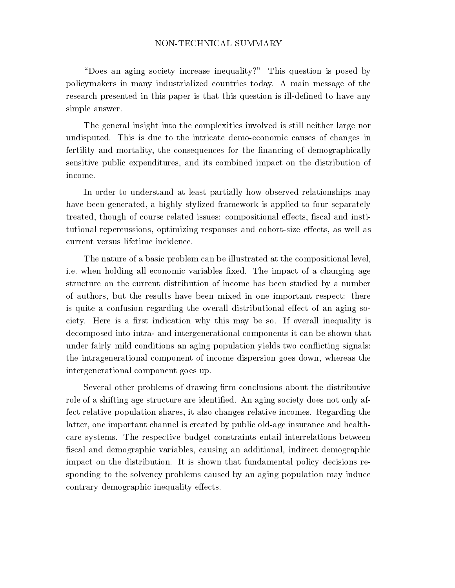### NON-TECHNICAL SUMMARY

"Does an aging society increase inequality?" This question is posed by policymakers in many industrialized countries today. A main message of the research presented in this paper is that this question is ill-defined to have any simple answer.

The general insight into the complexities involved is still neither large nor undisputed. This is due to the intricate demo-economic causes of changes in fertility and mortality, the consequences for the financing of demographically sensitive public expenditures, and its combined impact on the distribution of income.

In order to understand at least partially how observed relationships may have been generated, a highly stylized framework is applied to four separately treated, though of course related issues: compositional effects, fiscal and institutional repercussions, optimizing responses and cohort-size effects, as well as current versus lifetime incidence.

The nature of a basic problem can be illustrated at the compositional level, i.e. when holding all economic variables fixed. The impact of a changing age structure on the current distribution of income has been studied by a number of authors, but the results have been mixed in one important respect: there is quite a confusion regarding the overall distributional effect of an aging society. Here is a first indication why this may be so. If overall inequality is decomposed into intra- and intergenerational components it can be shown that under fairly mild conditions an aging population yields two conflicting signals: the intragenerational component of income dispersion goes down, whereas the intergenerational component goes up.

Several other problems of drawing firm conclusions about the distributive role of a shifting age structure are identified. An aging society does not only affect relative population shares, it also changes relative incomes. Regarding the latter, one important channel is created by public old-age insurance and healthcare systems. The respective budget constraints entail interrelations between fiscal and demographic variables, causing an additional, indirect demographic impact on the distribution. It is shown that fundamental policy decisions responding to the solvency problems caused by an aging population may induce contrary demographic inequality effects.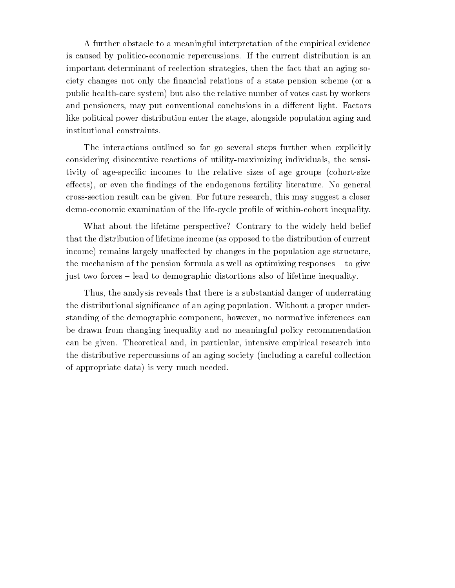A further obstacle to a meaningful interpretation of the empirical evidence is caused by politico-economic repercussions. If the current distribution is an important determinant of reelection strategies, then the fact that an aging society changes not only the nancial relations of a state pension scheme (or a public health-care system) but also the relative number of votes cast by workers and pensioners, may put conventional conclusions in a different light. Factors like political power distribution enter the stage, alongside population aging and institutional constraints.

The interactions outlined so far go several steps further when explicitly considering disincentive reactions of utility-maximizing individuals, the sensitivity of age-specic incomes to the relative sizes of age groups (cohort-size effects), or even the findings of the endogenous fertility literature. No general cross-section result can be given. For future research, this may suggest a closer demo-economic examination of the life-cycle prole of within-cohort inequality.

What about the lifetime perspective? Contrary to the widely held belief that the distribution of lifetime income (as opposed to the distribution of current income) remains largely unaffected by changes in the population age structure. the mechanism of the pension formula as well as optimizing responses  $-$  to give just two forces – lead to demographic distortions also of lifetime inequality.

Thus, the analysis reveals that there is a substantial danger of underrating the distributional signicance of an aging population. Without a proper understanding of the demographic component, however, no normative inferences can be drawn from changing inequality and no meaningful policy recommendation can be given. Theoretical and, in particular, intensive empirical research into the distributive repercussions of an aging society (including a careful collection of appropriate data) is very much needed.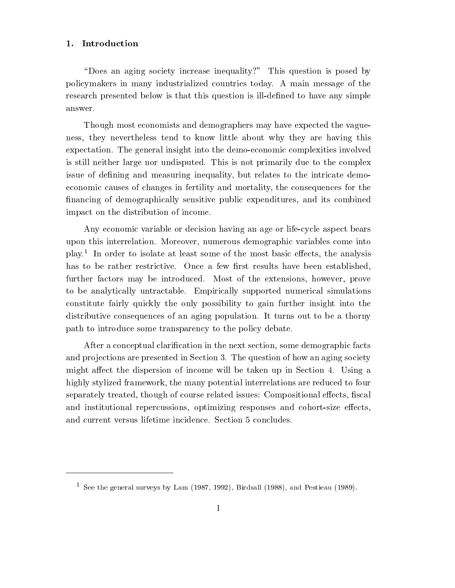### 1. Introduction

"Does an aging society increase inequality?" This question is posed by policymakers in many industrialized countries today. A main message of the research presented below is that this question is ill-dened to have any simple answer.

Though most economists and demographers may have expected the vagueness, they nevertheless tend to know little about why they are having this expectation. The general insight into the demo-economic complexities involved is still neither large nor undisputed. This is not primarily due to the complex issue of defining and measuring inequality, but relates to the intricate demoeconomic causes of changes in fertility and mortality, the consequences for the nancing of demographically sensitive public expenditures, and its combined impact on the distribution of income.

Any economic variable or decision having an age or life-cycle aspect bears upon this interrelation. Moreover, numerous demographic variables come into play. In order to isolate at least some of the most basic effects, the analysis has to be rather restrictive. Once a few first results have been established, further factors may be introduced. Most of the extensions, however, prove to be analytically untractable. Empirically supported numerical simulations constitute fairly quickly the only possibility to gain further insight into the distributive consequences of an aging population. It turns out to be a thorny path to introduce some transparency to the policy debate.

After a conceptual clarification in the next section, some demographic facts and projections are presented in Section 3. The question of how an aging society might affect the dispersion of income will be taken up in Section 4. Using a highly stylized framework, the many potential interrelations are reduced to four separately treated, though of course related issues: Compositional effects, fiscal and institutional repercussions, optimizing responses and cohort-size effects. and current versus lifetime incidence. Section 5 concludes.

<sup>1</sup> See the general surveys by Lam (1987, 1992), Birdsall (1988), and Pestieau (1989).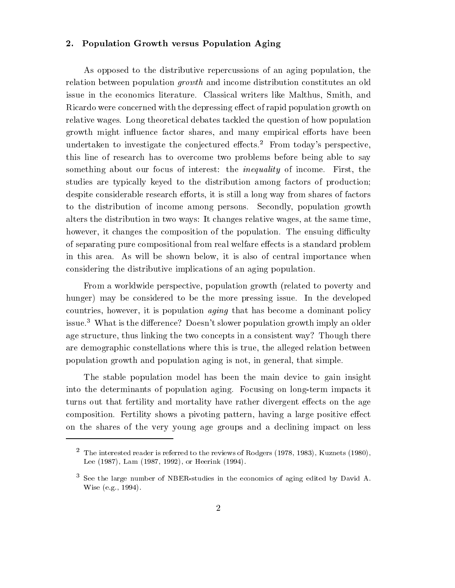### 2. Population Growth versus Population Aging

As opposed to the distributive repercussions of an aging population, the relation between population growth and income distribution constitutes an old issue in the economics literature. Classical writers like Malthus, Smith, and Ricardo were concerned with the depressing effect of rapid population growth on relative wages. Long theoretical debates tackled the question of how population growth might influence factor shares, and many empirical efforts have been undertaken to investigate the conjectured effects.<sup>2</sup> From today's perspective, this line of research has to overcome two problems before being able to say something about our focus of interest: the *inequality* of income. First, the studies are typically keyed to the distribution among factors of production; despite considerable research efforts, it is still a long way from shares of factors to the distribution of income among persons. Secondly, population growth alters the distribution in two ways: It changes relative wages, at the same time, however, it changes the composition of the population. The ensuing difficulty of separating pure compositional from real welfare effects is a standard problem in this area. As will be shown below, it is also of central importance when considering the distributive implications of an aging population.

From a worldwide perspective, population growth (related to poverty and hunger) may be considered to be the more pressing issue. In the developed countries, however, it is population aging that has become a dominant policy issue.<sup>3</sup> What is the difference? Doesn't slower population growth imply an older age structure, thus linking the two concepts in a consistent way? Though there are demographic constellations where this is true, the alleged relation between population growth and population aging is not, in general, that simple.

The stable population model has been the main device to gain insight into the determinants of population aging. Focusing on long-term impacts it turns out that fertility and mortality have rather divergent effects on the age composition. Fertility shows a pivoting pattern, having a large positive effect on the shares of the very young age groups and a declining impact on less

<sup>2</sup> The interested reader is referred to the reviews of Rodgers (1978, 1983), Kuznets (1980), Lee (1987), Lam (1987, 1992), or Heerink (1994).

<sup>3</sup> See the large number of NBER-studies in the economics of aging edited by David A. Wise (e.g., 1994).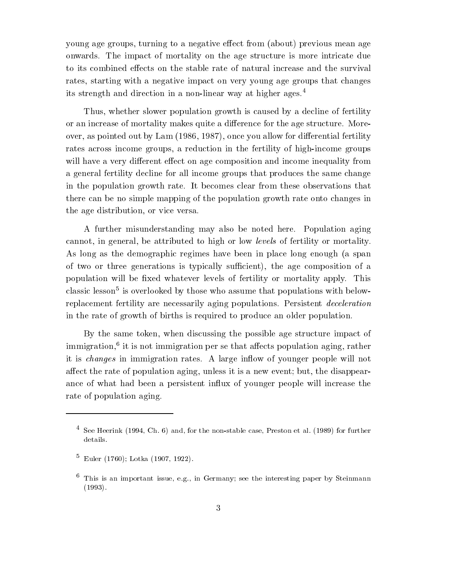young age groups, turning to a negative effect from (about) previous mean age onwards. The impact of mortality on the age structure is more intricate due to its combined effects on the stable rate of natural increase and the survival rates, starting with a negative impact on very young age groups that changes its strength and direction in a non-linear way at higher ages.<sup>4</sup>

Thus, whether slower population growth is caused by a decline of fertility or an increase of mortality makes quite a difference for the age structure. Moreover, as pointed out by  $\text{Lam}$  (1986, 1987), once you allow for differential fertility rates across income groups, a reduction in the fertility of high-income groups will have a very different effect on age composition and income inequality from a general fertility decline for all income groups that produces the same change in the population growth rate. It becomes clear from these observations that there can be no simple mapping of the population growth rate onto changes in the age distribution, or vice versa.

A further misunderstanding may also be noted here. Population aging cannot, in general, be attributed to high or low levels of fertility or mortality. As long as the demographic regimes have been in place long enough (a span of two or three generations is typically sucient), the age composition of a population will be fixed whatever levels of fertility or mortality apply. This classic lesson5 is overlooked by those who assume that populations with belowreplacement fertility are necessarily aging populations. Persistent deceleration in the rate of growth of births is required to produce an older population.

By the same token, when discussing the possible age structure impact of immigration," it is not immigration per se that allects population aging, rather it is *changes* in immigration rates. A large inflow of younger people will not affect the rate of population aging, unless it is a new event; but, the disappearance of what had been a persistent influx of younger people will increase the rate of population aging.

<sup>4</sup> See Heerink (1994, Ch. 6) and, for the non-stable case, Preston et al. (1989) for further details.

<sup>5</sup> Euler (1760); Lotka (1907, 1922).

<sup>6</sup> This is an important issue, e.g., in Germany; see the interesting paper by Steinmann (1993).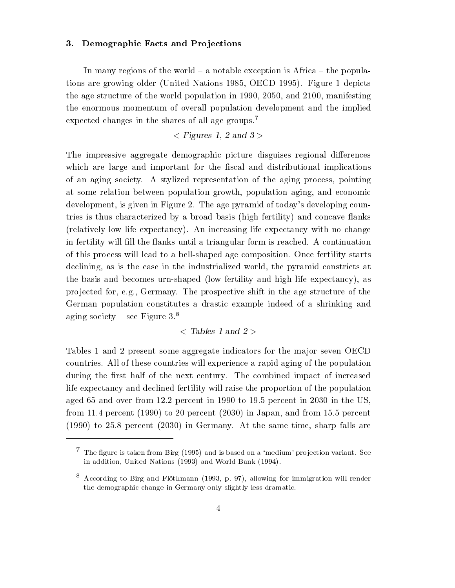#### 3. Demographic Facts and Projections

In many regions of the world  $-$  a notable exception is Africa  $-$  the populations are growing older (United Nations 1985, OECD 1995). Figure 1 depicts the age structure of the world population in 1990, 2050, and 2100, manifesting the enormous momentum of overall population development and the implied expected changes in the shares of all age groups.7

 $\langle$  Figures 1, 2 and 3  $>$ 

The impressive aggregate demographic picture disguises regional differences which are large and important for the fiscal and distributional implications of an aging society. A stylized representation of the aging process, pointing at some relation between population growth, population aging, and economic development, is given in Figure 2. The age pyramid of today's developing countries is thus characterized by a broad basis (high fertility) and concave flanks (relatively low life expectancy). An increasing life expectancy with no change in fertility will fill the flanks until a triangular form is reached. A continuation of this process will lead to a bell-shaped age composition. Once fertility starts declining, as is the case in the industrialized world, the pyramid constricts at the basis and becomes urn-shaped (low fertility and high life expectancy), as pro jected for, e.g., Germany. The prospective shift in the age structure of the German population constitutes a drastic example indeed of a shrinking and aging society – see Figure 3. $^8$ 

 $\langle$  Tables 1 and 2  $>$ 

Tables 1 and 2 present some aggregate indicators for the ma jor seven OECD countries. All of these countries will experience a rapid aging of the population during the first half of the next century. The combined impact of increased life expectancy and declined fertility will raise the proportion of the population aged 65 and over from 12.2 percent in 1990 to 19.5 percent in 2030 in the US, from 11.4 percent (1990) to 20 percent (2030) in Japan, and from 15.5 percent (1990) to 25.8 percent (2030) in Germany. At the same time, sharp falls are

t The figure is taken from Birg (1995) and is based on a 'medium' projection variant. See in addition, United Nations (1993) and World Bank (1994).

<sup>8</sup> According to Birg and Flothmann (1993, p. 97), allowing for immigration will render the demographic change in Germany only slightly less dramatic.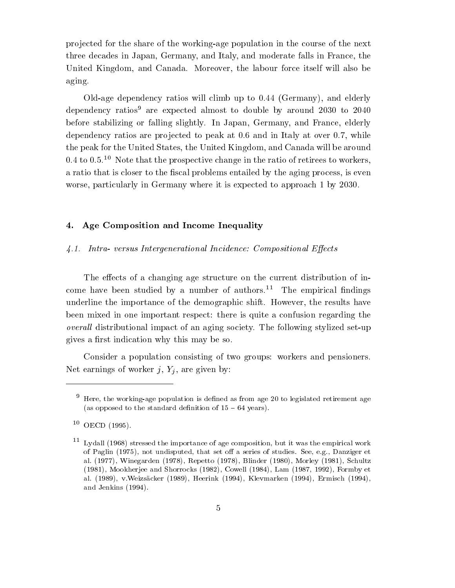pro jected for the share of the working-age population in the course of the next three decades in Japan, Germany, and Italy, and moderate falls in France, the United Kingdom, and Canada. Moreover, the labour force itself will also be aging.

Old-age dependency ratios will climb up to 0.44 (Germany), and elderly dependency ratios<sup>9</sup> are expected almost to double by around 2030 to 2040 before stabilizing or falling slightly. In Japan, Germany, and France, elderly dependency ratios are projected to peak at  $0.6$  and in Italy at over 0.7, while the peak for the United States, the United Kingdom, and Canada will be around 0.4 to 0.5.<sup>10</sup> Note that the prospective change in the ratio of retirees to workers. a ratio that is closer to the fiscal problems entailed by the aging process, is even worse, particularly in Germany where it is expected to approach 1 by 2030.

#### Age Composition and Income Inequality  $\boldsymbol{4}$ .

### 4.1. Intra- versus Intergenerational Incidence: Compositional Eects

The effects of a changing age structure on the current distribution of income have been studied by a number of authors.<sup>11</sup> The empirical findings underline the importance of the demographic shift. However, the results have been mixed in one important respect: there is quite a confusion regarding the  $\sigma$ verall distributional impact of an aging society. The following stylized set-up gives a first indication why this may be so.

Consider a population consisting of two groups: workers and pensioners. Net earnings of worker  $j, Y_j$ , are given by:

 $^\circ$  -Here, the working-age population is defined as from age 20 to legislated retirement age  $^\circ$ (as opposed to the standard definition of  $15 - 64$  years).

<sup>--</sup> OECD (1995).

 $^{\circ}$  Lydall (1968) stressed the importance of age composition, but it was the empirical work of Paglin (1975), not undisputed, that set off a series of studies. See, e.g., Danziger et al. (1977), Winegarden (1978), Repetto (1978), Blinder (1980), Morley (1981), Schultz (1981), Mookherjee and Shorrocks (1982), Cowell (1984), Lam (1987, 1992), Formby et al. (1989), v.Weizsacker (1989), Heerink (1994), Klevmarken (1994), Ermisch (1994), and Jenkins (1994).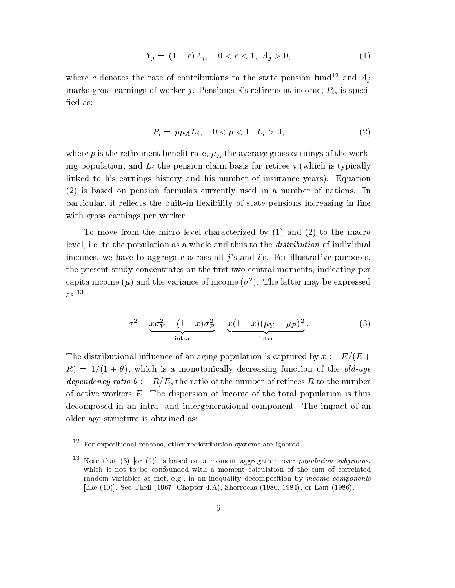$$
Y_j = (1 - c)A_j, \quad 0 < c < 1, \ A_j > 0,\tag{1}
$$

where c denotes the rate of contributions to the state pension fund<sup>12</sup> and  $A_i$ marks gross earnings of worker j. Pensioner i's retirement income,  $P_i$ , is specified as:

$$
P_i = p\mu_A L_i, \quad 0 < p < 1, \ L_i > 0,\tag{2}
$$

where  $p$  is the retirement benefit rate,  $\mu_A$  the average gross earnings of the working population, and  $L_i$  the pension claim basis for retiree i (which is typically linked to his earnings history and his number of insurance years). Equation (2) is based on pension formulas currently used in a number of nations. In particular, it reflects the built-in flexibility of state pensions increasing in line with gross earnings per worker.

To move from the micro level characterized by (1) and (2) to the macro level, i.e. to the population as a whole and thus to the distribution of individual incomes, we have to aggregate across all  $j$ 's and  $i$ 's. For illustrative purposes, the present study concentrates on the first two central moments, indicating per capita income ( $\mu$ ) and the variance of income ( $\sigma$  ). The latter may be expressed  $\mathrm{as:}^{13}$ 

$$
\sigma^{2} = \underbrace{x\sigma_{Y}^{2} + (1-x)\sigma_{P}^{2}}_{\text{intra}} + \underbrace{x(1-x)(\mu_{Y} - \mu_{P})^{2}}_{\text{inter}}.
$$
 (3)

The distributional influence of an aging population is captured by  $x := E/(E +$  $R$ ) = 1/(1 +  $\theta$ ), which is a monotonically decreasing function of the *old-age*  $a$  dependency ratio  $v := I(f \mathcal{L})$ , the ratio of the number of retirees  $I(f)$  to the number of active workers  $E$ . The dispersion of income of the total population is thus decomposed in an intra- and intergenerational component. The impact of an older age structure is obtained as:

<sup>12</sup> For expositional reasons, other redistribution systems are ignored.

 $\lceil \cdot \rceil$  Note that (3) [or (5)] is based on a moment aggregation over population subgroups, which is not to be confounded with a moment calculation of the sum of correlated random variables as met, e.g., in an inequality decomposition by *income components* [like (10)]. See Theil (1967, Chapter 4.A), Shorrocks (1980, 1984), or Lam (1986).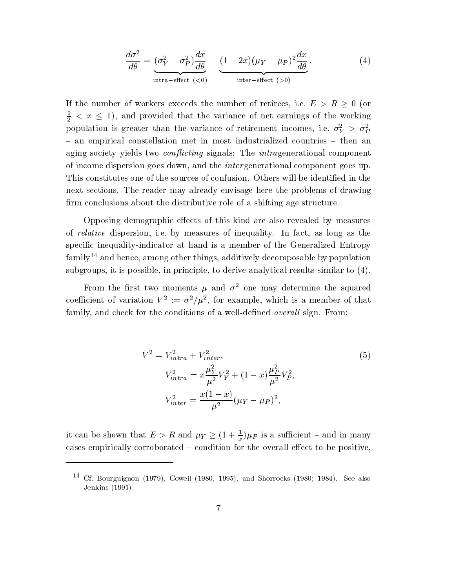$$
\frac{d\sigma^2}{d\theta} = \underbrace{(\sigma_Y^2 - \sigma_P^2)}_{\text{intra-effect}} \underbrace{dx}_{(\langle < 0)} + \underbrace{(1 - 2x)(\mu_Y - \mu_P)^2} \frac{dx}{d\theta}}_{\text{inter-effect } (\langle > 0 \rangle}.
$$
\n
$$
(4)
$$

If the number of workers exceeds the number of retirees, i.e.  $E > R \geq 0$  (or  $\frac{1}{2} < x \leq 1$ ), and provided that the variance of net earnings of the working population is greater than the variance of retirement incomes, i.e.  $\sigma_{\boldsymbol{Y}} > \sigma_{\boldsymbol{P}}$ { an empirical constellation met in most industrialized countries { then an aging society yields two *conflicting* signals: The *intragenerational* component of income dispersion goes down, and the *intergenerational* component goes up. This constitutes one of the sources of confusion. Others will be identied in the next sections. The reader may already envisage here the problems of drawing firm conclusions about the distributive role of a shifting age structure.

Opposing demographic effects of this kind are also revealed by measures of relative dispersion, i.e. by measures of inequality. In fact, as long as the specific inequality-indicator at hand is a member of the Generalized Entropy  $familiar<sup>14</sup>$  and hence, among other things, additively decomposable by population subgroups, it is possible, in principle, to derive analytical results similar to (4).

From the first two moments  $\mu$  and  $\sigma^2$  one may determine the squared coefficient of variation  $V^- := o^-/\mu$  , for example, which is a member of that family, and check for the conditions of a well-defined *overall* sign. From:

$$
V^{2} = V_{intra}^{2} + V_{inter}^{2},
$$
  
\n
$$
V_{intra}^{2} = x \frac{\mu_{Y}^{2}}{\mu^{2}} V_{Y}^{2} + (1 - x) \frac{\mu_{P}^{2}}{\mu^{2}} V_{P}^{2},
$$
  
\n
$$
V_{inter}^{2} = \frac{x(1 - x)}{\mu^{2}} (\mu_{Y} - \mu_{P})^{2},
$$
\n(5)

it can be shown that  $E > R$  and  $\mu_Y \geq (1 + \frac{1}{x})\mu_P$  is a sumclent – and in many cases empirically corroborated  ${\bf -}$  condition for the overall effect to be positive,

<sup>14</sup> Cf. Bourguignon (1979), Cowell (1980, 1995), and Shorrocks (1980; 1984). See also Jenkins (1991).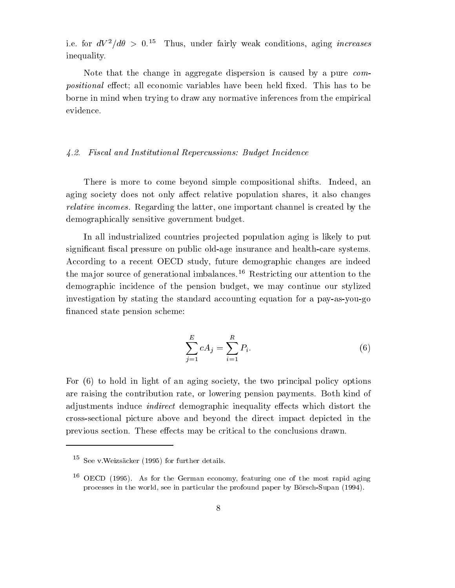i.e. for  $dV^2/d\theta > 0^{15}$  Thus, under fairly weak conditions, aging *increases* inequality.

Note that the change in aggregate dispersion is caused by a pure *com*positional eect; all economic variables have been held xed. This has to be borne in mind when trying to draw any normative inferences from the empirical evidence.

#### 4.2. Fiscal and Institutional Repercussions: Budget Incidence

There is more to come beyond simple compositional shifts. Indeed, an aging society does not only affect relative population shares, it also changes  $n_{\rm H}$  relative incomes. Regarding the latter, one important channel is created by the demographically sensitive government budget.

In all industrialized countries projected population aging is likely to put significant fiscal pressure on public old-age insurance and health-care systems. According to a recent OECD study, future demographic changes are indeed the ma jor source of generational imbalances.16 Restricting our attention to the demographic incidence of the pension budget, we may continue our stylized investigation by stating the standard accounting equation for a pay-as-you-go financed state pension scheme:

$$
\sum_{j=1}^{E} c A_j = \sum_{i=1}^{R} P_i.
$$
 (6)

For (6) to hold in light of an aging society, the two principal policy options are raising the contribution rate, or lowering pension payments. Both kind of adjustments induce *indirect* demographic inequality effects which distort the cross-sectional picture above and beyond the direct impact depicted in the previous section. These effects may be critical to the conclusions drawn.

 $15$  See v. Weizsäcker (1995) for further details. See v.Weizsacker (1995) for further details.

<sup>16</sup> OECD (1995).As for the German economy, featuring one of the most rapid aging processes in the world, see in particular the profound paper by Borsch-Supan (1994).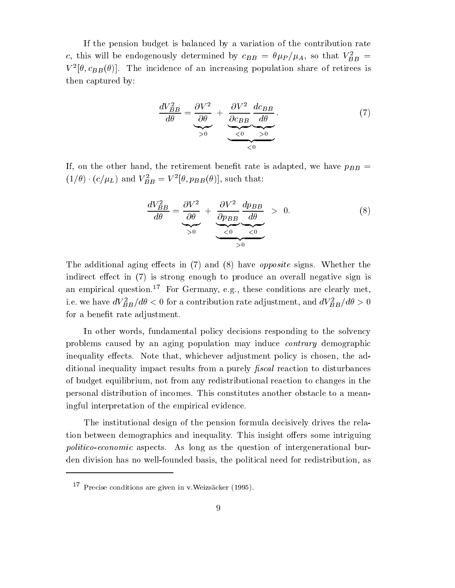If the pension budget is balanced by a variation of the contribution rate  $c,$  this will be endogenously determined by  $c_{BB} = \sigma \mu_P / \mu_A$ , so that  $v_{\bar{B}B} = \sigma \mu_B$  $V$   $[\sigma, c_{BB}(\sigma)]$ . The incidence of an increasing population share of retirees is then captured by:

$$
\frac{dV_{BB}^2}{d\theta} = \underbrace{\frac{\partial V^2}{\partial \theta}}_{>0} + \underbrace{\frac{\partial V^2}{\partial c_{BB}} \frac{dc_{BB}}{d\theta}}_{<0}.
$$
\n(7)

If, on the other hand, the retirement benefit rate is adapted, we have  $p_{BB}$  =  $(1/\sigma) \cdot (c/\mu_L)$  and  $V_{BB} = V$  [ $\sigma$ ,  $p_{BB}(\sigma)$ ], such that:

$$
\frac{dV_{BB}^2}{d\theta} = \underbrace{\frac{\partial V^2}{\partial \theta}}_{>0} + \underbrace{\frac{\partial V^2}{\partial p_{BB}} \frac{dp_{BB}}{d\theta}}_{>0} > 0.
$$
\n(8)

The additional aging effects in  $(7)$  and  $(8)$  have *opposite* signs. Whether the indirect effect in  $(7)$  is strong enough to produce an overall negative sign is an empirical question.<sup>17</sup> For Germany, e.g., these conditions are clearly met, i.e. we have  $a v_{BB}^-/a b < 0$  for a contribution rate adjustment, and  $a v_{BB}^-/a b > 0$ for a benefit rate adjustment.

In other words, fundamental policy decisions responding to the solvency problems caused by an aging population may induce contrary demographic inequality effects. Note that, whichever adjustment policy is chosen, the additional inequality impact results from a purely  $f_{is}$  reaction to disturbances of budget equilibrium, not from any redistributional reaction to changes in the personal distribution of incomes. This constitutes another obstacle to a meaningful interpretation of the empirical evidence.

The institutional design of the pension formula decisively drives the relation between demographics and inequality. This insight offers some intriguing politico-economic aspects. As long as the question of intergenerational burden division has no well-founded basis, the political need for redistribution, as

<sup>17</sup> Precise conditions are given in v.Weizsacker (1995).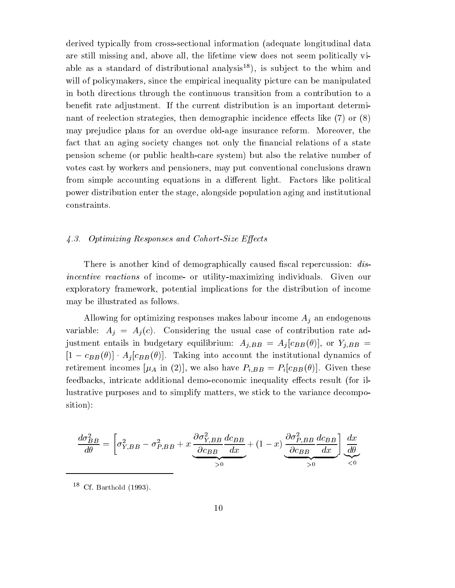derived typically from cross-sectional information (adequate longitudinal data are still missing and, above all, the lifetime view does not seem politically viable as a standard of distributional analysis<sup>18</sup>), is subject to the whim and will of policymakers, since the empirical inequality picture can be manipulated in both directions through the continuous transition from a contribution to a benefit rate adjustment. If the current distribution is an important determinant of reelection strategies, then demographic incidence effects like  $(7)$  or  $(8)$ may prejudice plans for an overdue old-age insurance reform. Moreover, the fact that an aging society changes not only the financial relations of a state pension scheme (or public health-care system) but also the relative number of votes cast by workers and pensioners, may put conventional conclusions drawn from simple accounting equations in a different light. Factors like political power distribution enter the stage, alongside population aging and institutional constraints.

#### 4.3.Optimizing Responses and Cohort-Size Effects

There is another kind of demographically caused fiscal repercussion: *dis*incentive reactions of income- or utility-maximizing individuals. Given our exploratory framework, potential implications for the distribution of income may be illustrated as follows.

Allowing for optimizing responses makes labour income  $A_j$  an endogenous variable:  $A_i = A_i(c)$ . Considering the usual case of contribution rate adjustment entails in budgetary equilibrium:  $A_{j,BB} = A_j[c_{BB}(\theta)]$ , or  $Y_{j,BB} =$  $[1 - c_{BB}(\theta)] \cdot A_i[c_{BB}(\theta)].$  Taking into account the institutional dynamics of retirement incomes  $[\mu_A \text{ in } (2)]$ , we also have  $P_{i,BB} = P_i [c_{BB}(\theta)].$  Given these feedbacks, intricate additional demo-economic inequality effects result (for illustrative purposes and to simplify matters, we stick to the variance decomposition):

$$
\frac{d\sigma_{BB}^2}{d\theta} = \left[\sigma_{Y,BB}^2 - \sigma_{P,BB}^2 + x \underbrace{\frac{\partial \sigma_{Y,BB}^2}{\partial c_{BB}} \frac{dc_{BB}}{dx}}_{>0} + (1-x) \underbrace{\frac{\partial \sigma_{P,BB}^2}{\partial c_{BB}} \frac{dc_{BB}}{dx}}_{>0}\right] \underbrace{\frac{dx}{d\theta}}_{<0}
$$

Cf. Barthold (1993).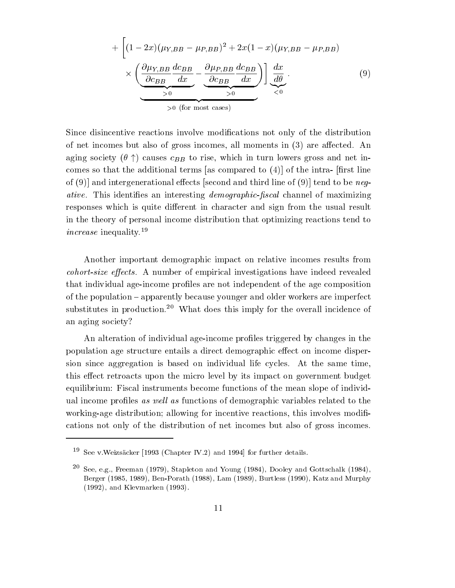$$
+\left[ (1 - 2x)(\mu_{Y,BB} - \mu_{P,BB})^2 + 2x(1 - x)(\mu_{Y,BB} - \mu_{P,BB}) \times \left( \underbrace{\frac{\partial \mu_{Y,BB}}{\partial c_{BB}} \frac{dc_{BB}}{dx}}_{>0} - \underbrace{\frac{\partial \mu_{P,BB}}{\partial c_{BB}} \frac{dc_{BB}}{dx}}_{>0} \right) \right] \underbrace{\frac{dx}{d\theta}}_{<0}.
$$
\n(9)

Since disincentive reactions involve modications not only of the distribution of net incomes but also of gross incomes, all moments in  $(3)$  are affected. An aging society ( $\theta \uparrow$ ) causes  $c_{BB}$  to rise, which in turn lowers gross and net incomes so that the additional terms [as compared to  $(4)$ ] of the intra- [first line of  $(9)$  and intergenerational effects second and third line of  $(9)$  tend to be negative. This identifies an interesting *demographic-fiscal* channel of maximizing responses which is quite different in character and sign from the usual result in the theory of personal income distribution that optimizing reactions tend to  $\it intercase$  inequality. $\sim$ 

 $\mathcal{L}$  . The state of the state of the state of the state of the state of the state of the state of the state of the state of the state of the state of the state of the state of the state of the state of the state of th

Another important demographic impact on relative incomes results from cohort-size eects . A number of empirical investigations have indeed revealed that individual age-income proles are not independent of the age composition of the population – apparently because younger and older workers are imperfect substitutes in production.<sup>20</sup> What does this imply for the overall incidence of an aging society?

An alteration of individual age-income profiles triggered by changes in the population age structure entails a direct demographic effect on income dispersion since aggregation is based on individual life cycles. At the same time, this effect retroacts upon the micro level by its impact on government budget equilibrium: Fiscal instruments become functions of the mean slope of individual income profiles as well as functions of demographic variables related to the working-age distribution; allowing for incentive reactions, this involves modifications not only of the distribution of net incomes but also of gross incomes.

 $\sim$  See v. Weizsacker [1993 (Chapter IV.2) and 1994] for further details.

<sup>20</sup> See, e.g., Freeman (1979), Stapleton and Young (1984), Dooley and Gottschalk (1984), Berger (1985, 1989), Ben-Porath (1988), Lam (1989), Burtless (1990), Katz and Murphy (1992), and Klevmarken (1993).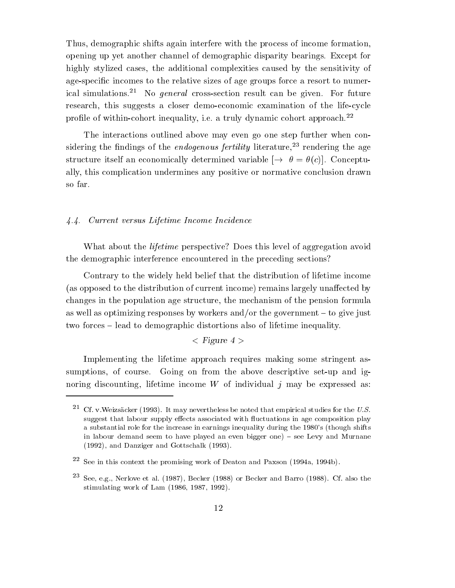Thus, demographic shifts again interfere with the process of income formation, opening up yet another channel of demographic disparity bearings. Except for highly stylized cases, the additional complexities caused by the sensitivity of age-specic incomes to the relative sizes of age groups force a resort to numerical simulations.<sup>21</sup> No *general* cross-section result can be given. For future research, this suggests a closer demo-economic examination of the life-cycle profile of within-cohort inequality, i.e. a truly dynamic cohort approach.<sup>22</sup>

The interactions outlined above may even go one step further when considering the findings of the *endogenous fertility* literature,<sup>23</sup> rendering the age structure itself an economically determined variable  $\rightarrow \theta = \theta(c)$ . Conceptually, this complication undermines any positive or normative conclusion drawn so far.

### 4.4. Current versus Lifetime Income Incidence

What about the *lifetime* perspective? Does this level of aggregation avoid the demographic interference encountered in the preceding sections?

Contrary to the widely held belief that the distribution of lifetime income (as opposed to the distribution of current income) remains largely unaffected by changes in the population age structure, the mechanism of the pension formula as well as optimizing responses by workers and/or the government  $-$  to give just two forces – lead to demographic distortions also of lifetime inequality.

## $\langle$  Figure 4  $\rangle$

Implementing the lifetime approach requires making some stringent assumptions, of course. Going on from the above descriptive set-up and ignoring discounting, lifetime income  $W$  of individual  $j$  may be expressed as:

<sup>&</sup>lt;sup>21</sup> Cf. v. Weizsäcker (1993). It may nevertheless be noted that empirical studies for the U.S. Cf. v.Weizsacker (1993). It may nevertheless be noted that empirical studies for the U.S. suggest that labour supply effects associated with fluctuations in age composition play a substantial role for the increase in earnings inequality during the 1980's (though shifts in labour demand seem to have played an even bigger one) - see Levy and Murnane (1992), and Danziger and Gottschalk (1993).

<sup>&</sup>lt;sup>--</sup> See in this context the promising work of Deaton and Paxson (1994a, 1994b).

<sup>23</sup> See, e.g., Nerlove et al. (1987), Becker (1988) or Becker and Barro (1988). Cf. also the stimulating work of Lam (1986, 1987, 1992).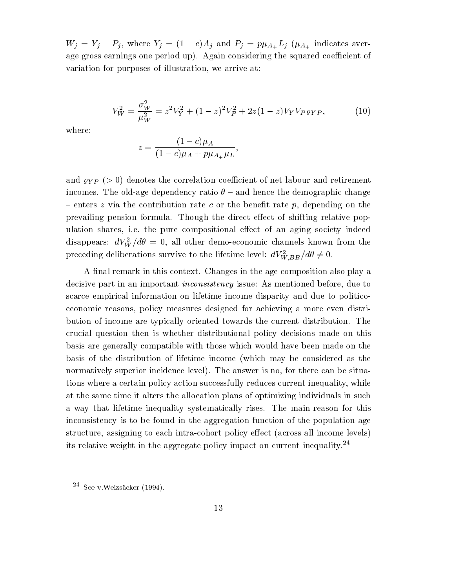$W_j = Y_j + P_j$ , where  $Y_j = (1 - c)A_j$  and  $P_j = p\mu_{A_+}L_j$  ( $\mu_{A_+}$  indicates average gross earnings one period up). Again considering the squared coefficient of variation for purposes of illustration, we arrive at:

$$
V_W^2 = \frac{\sigma_W^2}{\mu_W^2} = z^2 V_Y^2 + (1 - z)^2 V_P^2 + 2z(1 - z)V_Y V_P \varrho_{YP},
$$
 (10)

where:

$$
z = \frac{(1 - c)\mu_A}{(1 - c)\mu_A + p\mu_{A_+}\mu_L},
$$

and  $\rho_{YP}$  (> 0) denotes the correlation coefficient of net labour and retirement incomes. The old-age dependency ratio  $\theta$  – and hence the demographic change  $\frac{1}{\left(1-\frac{1}{\sqrt{2}}\right)}$  = enters z via the contribution rate c or the benefit rate p, depending on the prevailing pension formula. Though the direct effect of shifting relative population shares, i.e. the pure compositional effect of an aging society indeed disappears:  $a v_{\bar{W}}/a\theta = 0$ , all other demo-economic channels known from the preceding democrations survive to the metime level:  $a v_{W,BB}/a\sigma \neq 0$ .

A final remark in this context. Changes in the age composition also play a decisive part in an important inconsistency issue: As mentioned before, due to scarce empirical information on lifetime income disparity and due to politicoeconomic reasons, policy measures designed for achieving a more even distribution of income are typically oriented towards the current distribution. The crucial question then is whether distributional policy decisions made on this basis are generally compatible with those which would have been made on the basis of the distribution of lifetime income (which may be considered as the normatively superior incidence level). The answer is no, for there can be situations where a certain policy action successfully reduces current inequality, while at the same time it alters the allocation plans of optimizing individuals in such a way that lifetime inequality systematically rises. The main reason for this inconsistency isto be found in the aggregation function of the population age structure, assigning to each intra-cohort policy effect (across all income levels) its relative weight in the aggregate policy impact on current inequality.<sup>24</sup>

<sup>24</sup> See v.Weizsacker (1994).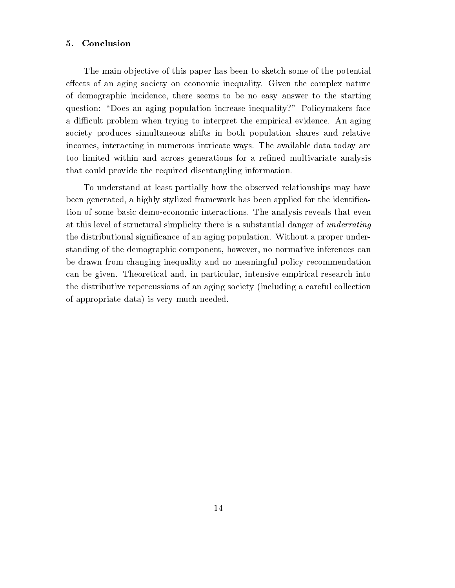#### 5. **Conclusion**

The main objective of this paper has been to sketch some of the potential effects of an aging society on economic inequality. Given the complex nature of demographic incidence, there seems to be no easy answer to the starting question: "Does an aging population increase inequality?" Policymakers face a difficult problem when trying to interpret the empirical evidence. An aging society produces simultaneous shifts in both population shares and relative incomes, interacting in numerous intricate ways. The available data today are too limited within and across generations for a refined multivariate analysis that could provide the required disentangling information.

To understand at least partially how the observed relationships may have been generated, a highly stylized framework has been applied for the identication of some basic demo-economic interactions. The analysis reveals that even at this level of structural simplicity there is a substantial danger of *underrating* the distributional signicance of an aging population. Without a proper understanding of the demographic component, however, no normative inferences can be drawn from changing inequality and no meaningful policy recommendation can be given. Theoretical and, in particular, intensive empirical research into the distributive repercussions of an aging society (including a careful collection of appropriate data) is very much needed.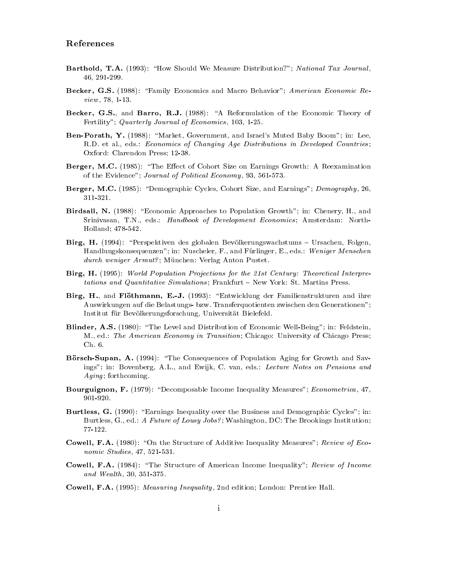#### References

- **Barthold, T.A.** (1993): "How Should We Measure Distribution?"; National Tax Journal, 46, 291-299.
- Becker, G.S. (1988): "Family Economics and Macro Behavior": American Economic Review, 78, 1-13.
- Becker, G.S., and Barro, R.J. (1988): "A Reformulation of the Economic Theory of Fertility"; Quarterly Journal of Economics, 103, 1-25.
- Ben-Porath, Y. (1988): "Market, Government, and Israel's Muted Baby Boom"; in: Lee, R.D. et al., eds.: Economics of Changing Age Distributions in Developed Countries: Oxford: Clarendon Press; 12-38.
- Berger, M.C. (1985): "The Effect of Cohort Size on Earnings Growth: A Reexamination of the Evidence"; Journal of Political Economy, 93, 561-573.
- Berger, M.C. (1985): "Demographic Cycles, Cohort Size, and Earnings"; Demography, 26, 311-321.
- Birdsall, N. (1988): "Economic Approaches to Population Growth"; in: Chenery, H., and Srinivasan, T.N., eds.: Handbook of Development Economics; Amsterdam: North-Holland; 478-542.
- Birg, H. (1994): "Perspektiven des globalen Bevölkerungswachstums  $-$  Ursachen, Folgen, Handlungskonsequenzen"; in: Nuscheler, F., and Fürlinger, E., eds.: Weniger Menschen durch weniger Armut?; München: Verlag Anton Pustet.
- Birg, H. (1995): World Population Projections for the 21st Century: Theoretical Interpretations and Quantitative Simulations; Frankfurt - New York: St. Martins Press.
- Birg, H., and Flöthmann, E.-J. (1993): "Entwicklung der Familienstrukturen and ihre Auswirkungen auf die Belastungs- bzw. Transferquotienten zwischen den Generationen"; Institut fur Bevolkerungsforschung, Universitat Bielefeld.
- Blinder, A.S. (1980): "The Level and Distribution of Economic Well-Being"; in: Feldstein, M., ed.: The American Economy in Transition; Chicago: University of Chicago Press; Ch. 6.
- **Börsch-Supan, A.** (1994): "The Consequences of Population Aging for Growth and Savings"; in: Bovenberg, A.L., and Ewijk, C. van, eds.: Lecture Notes on Pensions and  $Againg$ ; forthcoming.
- Bourguignon, F. (1979): "Decomposable Income Inequality Measures"; Econometrica, 47, 901-920.
- Burtless, G.  $(1990)$ : "Earnings Inequality over the Business and Demographic Cycles"; in: Burtless, G., ed.: A Future of Lousy Jobs?; Washington, DC: The Brookings Institution; 77-122.
- **Cowell, F.A.** (1980): "On the Structure of Additive Inequality Measures"; Review of Economic Studies, 47, 521-531.
- **Cowell, F.A.** (1984): "The Structure of American Income Inequality"; Review of Income and Wealth, 30, 351-375.
- Cowell, F.A. (1995): Measuring Inequality, 2nd edition; London: Prentice Hall.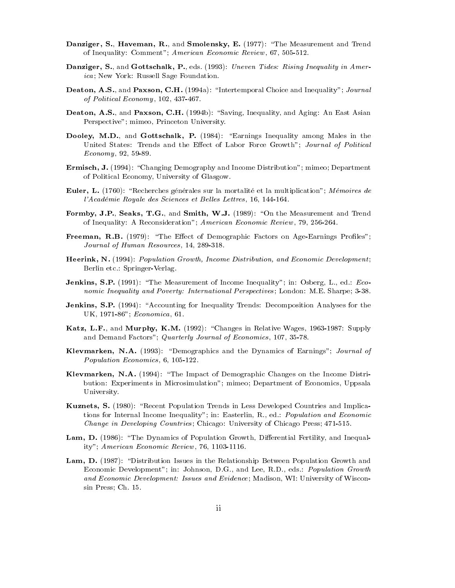- Danziger, S., Haveman, R., and Smolensky, E. (1977): "The Measurement and Trend of Inequality: Comment"; American Economic Review, 67, 505-512.
- Danziger, S., and Gottschalk, P., eds. (1993): Uneven Tides: Rising Inequality in America; New York: Russell Sage Foundation.
- Deaton, A.S., and Paxson, C.H. (1994a): "Intertemporal Choice and Inequality"; Journal of Political Economy, 102, 437-467.
- Deaton, A.S., and Paxson, C.H. (1994b): "Saving, Inequality, and Aging: An East Asian Perspective"; mimeo, Princeton University.
- Dooley, M.D., and Gottschalk, P. (1984): "Earnings Inequality among Males in the United States: Trends and the Effect of Labor Force Growth"; Journal of Political Economy, 92, 59-89.
- Ermisch, J. (1994): "Changing Demography and Income Distribution"; mimeo; Department of Political Economy, University of Glasgow.
- Euler, L. (1760): "Recherches générales sur la mortalité et la multiplication"; Mémoires de l'Académie Royale des Sciences et Belles Lettres, 16, 144-164.
- Formby, J.P., Seaks, T.G., and Smith, W.J. (1989): "On the Measurement and Trend of Inequality: A Reconsideration"; American Economic Review, 79, 256-264.
- Freeman, R.B. (1979): "The Effect of Demographic Factors on Age-Earnings Profiles"; Journal of Human Resources, 14, 289-318.
- Heerink, N. (1994): Population Growth, Income Distribution, and Economic Development; Berlin etc.: Springer-Verlag.
- **Jenkins, S.P.** (1991): "The Measurement of Income Inequality"; in: Osberg, L., ed.:  $Eco$ nomic Inequality and Poverty: International Perspectives; London: M.E. Sharpe; 3-38.
- **Jenkins, S.P.** (1994): "Accounting for Inequality Trends: Decomposition Analyses for the UK, 1971-86"; Economica, 61.
- Katz, L.F., and Murphy, K.M. (1992): "Changes in Relative Wages, 1963-1987: Supply and Demand Factors"; Quarterly Journal of Economics, 107, 35-78.
- Klevmarken, N.A. (1993): "Demographics and the Dynamics of Earnings"; Journal of Population Economics , 6, 105-122.
- Klevmarken, N.A. (1994): "The Impact of Demographic Changes on the Income Distribution: Experiments in Microsimulation"; mimeo; Department of Economics, Uppsala University.
- Kuznets, S. (1980): "Recent Population Trends in Less Developed Countries and Implications for Internal Income Inequality"; in: Easterlin, R., ed.: Population and Economic Change in Developing Countries; Chicago: University of Chicago Press; 471-515.
- Lam, D. (1986): "The Dynamics of Population Growth, Differential Fertility, and Inequality"; American Economic Review, 76, 1103-1116.
- Lam, D. (1987): "Distribution Issues in the Relationship Between Population Growth and Economic Development"; in: Johnson, D.G., and Lee, R.D., eds.: Population Growth and Economic Development: Issues and Evidence; Madison, WI: University of Wisconsin Press; Ch. 15.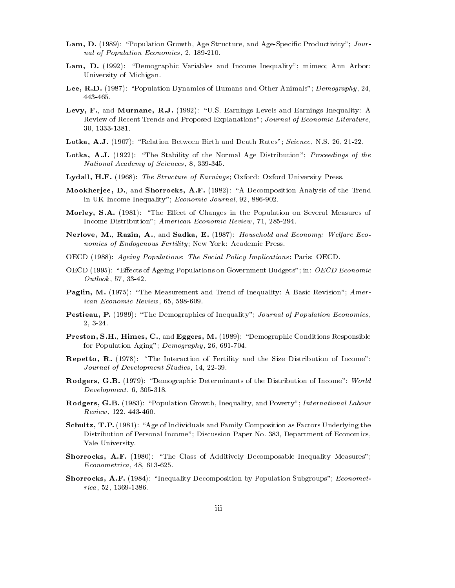- Lam, D. (1989): "Population Growth, Age Structure, and Age-Specific Productivity"; Journal of Population Economics, 2, 189-210.
- Lam, D. (1992): "Demographic Variables and Income Inequality"; mimeo; Ann Arbor: University of Michigan.
- Lee, R.D. (1987): "Population Dynamics of Humans and Other Animals"; Demography, 24, 443-465.
- Levy, F., and Murnane, R.J. (1992): "U.S. Earnings Levels and Earnings Inequality: A Review of Recent Trends and Proposed Explanations"; Journal of Economic Literature, 30, 1333-1381.
- Lotka, A.J. (1907): "Relation Between Birth and Death Rates"; Science, N.S. 26, 21-22.
- Lotka, A.J. (1922): "The Stability of the Normal Age Distribution"; Proceedings of the National Academy of Sciences, 8, 339-345.
- Lydall, H.F. (1968): The Structure of Earnings; Oxford: Oxford University Press.
- Mookherjee, D., and Shorrocks, A.F. (1982): "A Decomposition Analysis of the Trend in UK Income Inequality"; Economic Journal, 92, 886-902.
- Morley, S.A. (1981): "The Effect of Changes in the Population on Several Measures of Income Distribution"; American Economic Review, 71, 285-294.
- Nerlove, M., Razin, A., and Sadka, E. (1987): Household and Economy: Welfare Eco nomics of Endogenous Fertility; New York: Academic Press.
- OECD (1988): Ageing Populations: The Social Policy Implications ; Paris: OECD.
- OECD (1995): "Effects of Ageing Populations on Government Budgets"; in: OECD Economic Outlook , 57, 33-42.
- **Paglin, M.** (1975): "The Measurement and Trend of Inequality: A Basic Revision"; American Economic Review, 65, 598-609.
- Pestieau, P. (1989): "The Demographics of Inequality"; Journal of Population Economics, 2, 3-24.
- Preston, S.H., Himes, C., and Eggers, M. (1989): "Demographic Conditions Responsible for Population Aging"; Demography, 26, 691-704.
- Repetto, R. (1978): "The Interaction of Fertility and the Size Distribution of Income"; Journal of Development Studies, 14, 22-39.
- **Rodgers, G.B.** (1979): "Demographic Determinants of the Distribution of Income"; World  $Development, 6, 305-318.$
- Rodgers, G.B. (1983): "Population Growth, Inequality, and Poverty"; International Labour Review, 122, 443-460.
- Schultz, T.P. (1981): "Age of Individuals and Family Composition as Factors Underlying the Distribution of Personal Income"; Discussion Paper No. 383, Department of Economics, Yale University.
- Shorrocks, A.F. (1980): "The Class of Additively Decomposable Inequality Measures"; Econometrica, 48, 613-625.
- Shorrocks, A.F. (1984): "Inequality Decomposition by Population Subgroups"; Econometrica, 52, 1369-1386.